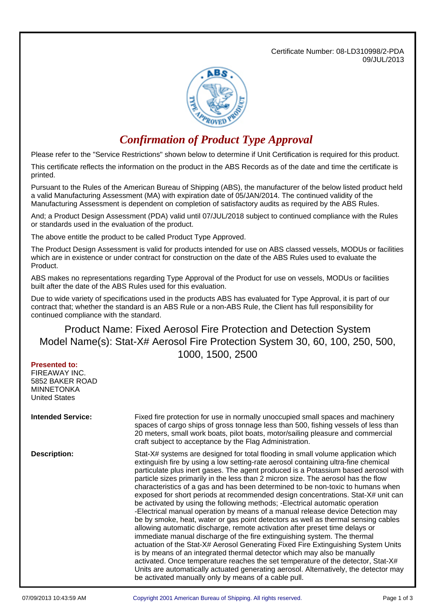Certificate Number: 08-LD310998/2-PDA 09/JUL/2013



## *Confirmation of Product Type Approval*

Please refer to the "Service Restrictions" shown below to determine if Unit Certification is required for this product.

This certificate reflects the information on the product in the ABS Records as of the date and time the certificate is printed.

Pursuant to the Rules of the American Bureau of Shipping (ABS), the manufacturer of the below listed product held a valid Manufacturing Assessment (MA) with expiration date of 05/JAN/2014. The continued validity of the Manufacturing Assessment is dependent on completion of satisfactory audits as required by the ABS Rules.

And; a Product Design Assessment (PDA) valid until 07/JUL/2018 subject to continued compliance with the Rules or standards used in the evaluation of the product.

The above entitle the product to be called Product Type Approved.

The Product Design Assessment is valid for products intended for use on ABS classed vessels, MODUs or facilities which are in existence or under contract for construction on the date of the ABS Rules used to evaluate the Product.

ABS makes no representations regarding Type Approval of the Product for use on vessels, MODUs or facilities built after the date of the ABS Rules used for this evaluation.

Due to wide variety of specifications used in the products ABS has evaluated for Type Approval, it is part of our contract that; whether the standard is an ABS Rule or a non-ABS Rule, the Client has full responsibility for continued compliance with the standard.

## Product Name: Fixed Aerosol Fire Protection and Detection System Model Name(s): Stat-X# Aerosol Fire Protection System 30, 60, 100, 250, 500, 1000, 1500, 2500

| <b>Presented to:</b><br>FIREAWAY INC.<br>5852 BAKER ROAD<br><b>MINNETONKA</b><br><b>United States</b> |                                                                                                                                                                                                                                                                                                                                                                                                                                                                                                                                                                                                                                                                                                                                                                                                                                                                                                                                                                                                                                                                                                                                                                                                                                                                                                                                                  |
|-------------------------------------------------------------------------------------------------------|--------------------------------------------------------------------------------------------------------------------------------------------------------------------------------------------------------------------------------------------------------------------------------------------------------------------------------------------------------------------------------------------------------------------------------------------------------------------------------------------------------------------------------------------------------------------------------------------------------------------------------------------------------------------------------------------------------------------------------------------------------------------------------------------------------------------------------------------------------------------------------------------------------------------------------------------------------------------------------------------------------------------------------------------------------------------------------------------------------------------------------------------------------------------------------------------------------------------------------------------------------------------------------------------------------------------------------------------------|
| <b>Intended Service:</b>                                                                              | Fixed fire protection for use in normally unoccupied small spaces and machinery<br>spaces of cargo ships of gross tonnage less than 500, fishing vessels of less than<br>20 meters, small work boats, pilot boats, motor/sailing pleasure and commercial<br>craft subject to acceptance by the Flag Administration.                                                                                                                                                                                                                                                                                                                                                                                                                                                                                                                                                                                                                                                                                                                                                                                                                                                                                                                                                                                                                              |
| <b>Description:</b>                                                                                   | Stat-X# systems are designed for total flooding in small volume application which<br>extinguish fire by using a low setting-rate aerosol containing ultra-fine chemical<br>particulate plus inert gases. The agent produced is a Potassium based aerosol with<br>particle sizes primarily in the less than 2 micron size. The aerosol has the flow<br>characteristics of a gas and has been determined to be non-toxic to humans when<br>exposed for short periods at recommended design concentrations. Stat-X# unit can<br>be activated by using the following methods; -Electrical automatic operation<br>-Electrical manual operation by means of a manual release device Detection may<br>be by smoke, heat, water or gas point detectors as well as thermal sensing cables<br>allowing automatic discharge, remote activation after preset time delays or<br>immediate manual discharge of the fire extinguishing system. The thermal<br>actuation of the Stat-X# Aerosol Generating Fixed Fire Extinguishing System Units<br>is by means of an integrated thermal detector which may also be manually<br>activated. Once temperature reaches the set temperature of the detector, Stat-X#<br>Units are automatically actuated generating aerosol. Alternatively, the detector may<br>be activated manually only by means of a cable pull. |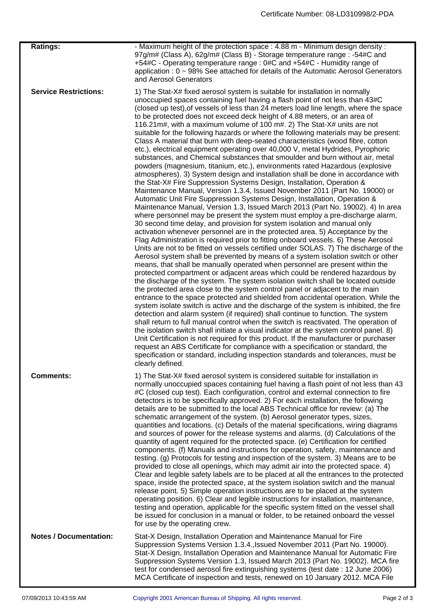| <b>Ratings:</b>               | - Maximum height of the protection space : 4.88 m - Minimum design density :<br>97g/m# (Class A), 62g/m# (Class B) - Storage temperature range : -54#C and<br>+54#C - Operating temperature range : 0#C and +54#C - Humidity range of<br>application : 0 ~ 98% See attached for details of the Automatic Aerosol Generators<br>and Aerosol Generators                                                                                                                                                                                                                                                                                                                                                                                                                                                                                                                                                                                                                                                                                                                                                                                                                                                                                                                                                                                                                                                                                                                                                                                                                                                                                                                                                                                                                                                                                                                                                                                                                                                                                                                                                                                                                                                                                                                                                                                                                                                                                                                                                                                                                                                                                                                                                                                                                                                                                                  |
|-------------------------------|--------------------------------------------------------------------------------------------------------------------------------------------------------------------------------------------------------------------------------------------------------------------------------------------------------------------------------------------------------------------------------------------------------------------------------------------------------------------------------------------------------------------------------------------------------------------------------------------------------------------------------------------------------------------------------------------------------------------------------------------------------------------------------------------------------------------------------------------------------------------------------------------------------------------------------------------------------------------------------------------------------------------------------------------------------------------------------------------------------------------------------------------------------------------------------------------------------------------------------------------------------------------------------------------------------------------------------------------------------------------------------------------------------------------------------------------------------------------------------------------------------------------------------------------------------------------------------------------------------------------------------------------------------------------------------------------------------------------------------------------------------------------------------------------------------------------------------------------------------------------------------------------------------------------------------------------------------------------------------------------------------------------------------------------------------------------------------------------------------------------------------------------------------------------------------------------------------------------------------------------------------------------------------------------------------------------------------------------------------------------------------------------------------------------------------------------------------------------------------------------------------------------------------------------------------------------------------------------------------------------------------------------------------------------------------------------------------------------------------------------------------------------------------------------------------------------------------------------------------|
| <b>Service Restrictions:</b>  | 1) The Stat-X# fixed aerosol system is suitable for installation in normally<br>unoccupied spaces containing fuel having a flash point of not less than 43#C<br>(closed up test), of vessels of less than 24 meters load line length, where the space<br>to be protected does not exceed deck height of 4.88 meters, or an area of<br>116.21 m#, with a maximum volume of 100 m#. 2) The Stat-X# units are not<br>suitable for the following hazards or where the following materials may be present:<br>Class A material that burn with deep-seated characteristics (wood fibre, cotton<br>etc.), electrical equipment operating over 40,000 V, metal Hydrides, Pyrophoric<br>substances, and Chemical substances that smoulder and burn without air, metal<br>powders (magnesium, titanium, etc.), environments rated Hazardous (explosive<br>atmospheres). 3) System design and installation shall be done in accordance with<br>the Stat-X# Fire Suppression Systems Design, Installation, Operation &<br>Maintenance Manual, Version 1.3.4, Issued November 2011 (Part No. 19000) or<br>Automatic Unit Fire Suppression Systems Design, Installation, Operation &<br>Maintenance Manual, Version 1.3, Issued March 2013 (Part No. 19002). 4) In area<br>where personnel may be present the system must employ a pre-discharge alarm,<br>30 second time delay, and provision for system isolation and manual only<br>activation whenever personnel are in the protected area. 5) Acceptance by the<br>Flag Administration is required prior to fitting onboard vessels. 6) These Aerosol<br>Units are not to be fitted on vessels certified under SOLAS. 7) The discharge of the<br>Aerosol system shall be prevented by means of a system isolation switch or other<br>means, that shall be manually operated when personnel are present within the<br>protected compartment or adjacent areas which could be rendered hazardous by<br>the discharge of the system. The system isolation switch shall be located outside<br>the protected area close to the system control panel or adjacent to the main<br>entrance to the space protected and shielded from accidental operation. While the<br>system isolate switch is active and the discharge of the system is inhibited, the fire<br>detection and alarm system (if required) shall continue to function. The system<br>shall return to full manual control when the switch is reactivated. The operation of<br>the isolation switch shall initiate a visual indicator at the system control panel. 8)<br>Unit Certification is not required for this product. If the manufacturer or purchaser<br>request an ABS Certificate for compliance with a specification or standard, the<br>specification or standard, including inspection standards and tolerances, must be<br>clearly defined. |
| <b>Comments:</b>              | 1) The Stat-X# fixed aerosol system is considered suitable for installation in<br>normally unoccupied spaces containing fuel having a flash point of not less than 43<br>#C (closed cup test). Each configuration, control and external connection to fire<br>detectors is to be specifically approved. 2) For each installation, the following<br>details are to be submitted to the local ABS Technical office for review: (a) The<br>schematic arrangement of the system. (b) Aerosol generator types, sizes,<br>quantities and locations. (c) Details of the material specifications, wiring diagrams<br>and sources of power for the release systems and alarms. (d) Calculations of the<br>quantity of agent required for the protected space. (e) Certification for certified<br>components. (f) Manuals and instructions for operation, safety, maintenance and<br>testing. (g) Protocols for testing and inspection of the system. 3) Means are to be<br>provided to close all openings, which may admit air into the protected space. 4)<br>Clear and legible safety labels are to be placed at all the entrances to the protected<br>space, inside the protected space, at the system isolation switch and the manual<br>release point. 5) Simple operation instructions are to be placed at the system<br>operating position. 6) Clear and legible instructions for installation, maintenance,<br>testing and operation, applicable for the specific system fitted on the vessel shall<br>be issued for conclusion in a manual or folder, to be retained onboard the vessel<br>for use by the operating crew.                                                                                                                                                                                                                                                                                                                                                                                                                                                                                                                                                                                                                                                                                                                                                                                                                                                                                                                                                                                                                                                                                                                                                                                                                              |
| <b>Notes / Documentation:</b> | Stat-X Design, Installation Operation and Maintenance Manual for Fire<br>Suppression Systems Version 1.3.4., Issued November 2011 (Part No. 19000).<br>Stat-X Design, Installation Operation and Maintenance Manual for Automatic Fire<br>Suppression Systems Version 1.3, Issued March 2013 (Part No. 19002). MCA fire<br>test for condensed aerosol fire extinguishing systems (test date: 12 June 2006)<br>MCA Certificate of inspection and tests, renewed on 10 January 2012. MCA File                                                                                                                                                                                                                                                                                                                                                                                                                                                                                                                                                                                                                                                                                                                                                                                                                                                                                                                                                                                                                                                                                                                                                                                                                                                                                                                                                                                                                                                                                                                                                                                                                                                                                                                                                                                                                                                                                                                                                                                                                                                                                                                                                                                                                                                                                                                                                            |